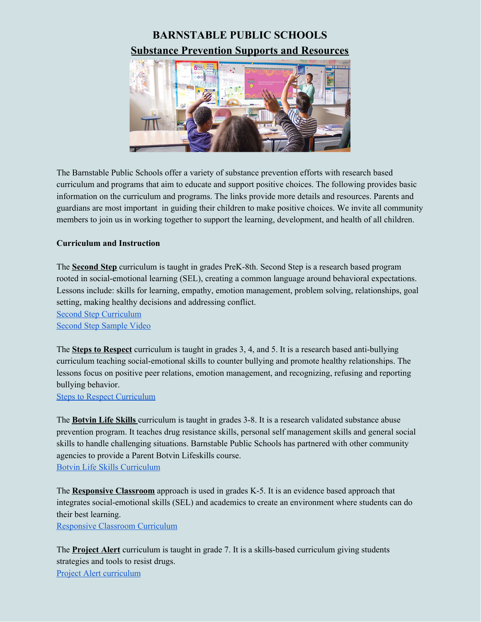## **BARNSTABLE PUBLIC SCHOOLS Substance Prevention Supports and Resources**



The Barnstable Public Schools offer a variety of substance prevention efforts with research based curriculum and programs that aim to educate and support positive choices. The following provides basic information on the curriculum and programs. The links provide more details and resources. Parents and guardians are most important in guiding their children to make positive choices. We invite all community members to join us in working together to support the learning, development, and health of all children.

## **Curriculum and Instruction**

The **Second Step** curriculum is taught in grades PreK-8th. Second Step is a research based program rooted in social-emotional learning (SEL), creating a common language around behavioral expectations. Lessons include: skills for learning, empathy, emotion management, problem solving, relationships, goal setting, making healthy decisions and addressing conflict.

Second Step [Curriculum](https://www.secondstep.org/) Second Step [Sample](https://www.youtube.com/watch?v=x2AfLZXhls8) Video

The **Steps to Respect** curriculum is taught in grades 3, 4, and 5. It is a research based anti-bullying curriculum teaching social-emotional skills to counter bullying and promote healthy relationships. The lessons focus on positive peer relations, emotion management, and recognizing, refusing and reporting bullying behavior.

Steps to Respect [Curriculum](https://www.blueprintsprograms.org/factsheet/steps-to-respect)

The **Botvin Life Skills** curriculum is taught in grades 3-8. It is a research validated substance abuse prevention program. It teaches drug resistance skills, personal self management skills and general social skills to handle challenging situations. Barnstable Public Schools has partnered with other community agencies to provide a Parent Botvin Lifeskills course. Botvin Life Skills [Curriculum](https://www.lifeskillstraining.com/lst-overview/)

The **Responsive Classroom** approach is used in grades K-5. It is an evidence based approach that integrates social-emotional skills (SEL) and academics to create an environment where students can do their best learning.

[Responsive](https://www.responsiveclassroom.org/) Classroom Curriculum

The **Project Alert** curriculum is taught in grade 7. It is a skills-based curriculum giving students strategies and tools to resist drugs. Project Alert [curriculum](https://www.projectalert.com/)